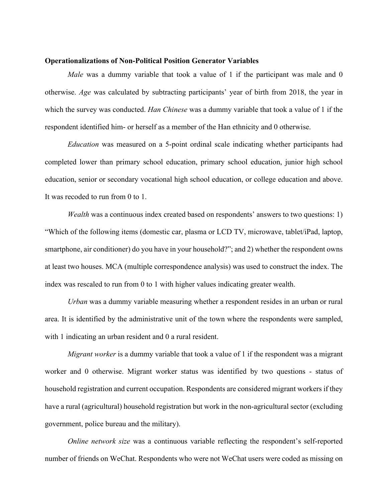#### **Operationalizations of Non-Political Position Generator Variables**

*Male* was a dummy variable that took a value of 1 if the participant was male and 0 otherwise. *Age* was calculated by subtracting participants' year of birth from 2018, the year in which the survey was conducted. *Han Chinese* was a dummy variable that took a value of 1 if the respondent identified him- or herself as a member of the Han ethnicity and 0 otherwise.

*Education* was measured on a 5-point ordinal scale indicating whether participants had completed lower than primary school education, primary school education, junior high school education, senior or secondary vocational high school education, or college education and above. It was recoded to run from 0 to 1.

*Wealth* was a continuous index created based on respondents' answers to two questions: 1) "Which of the following items (domestic car, plasma or LCD TV, microwave, tablet/iPad, laptop, smartphone, air conditioner) do you have in your household?"; and 2) whether the respondent owns at least two houses. MCA (multiple correspondence analysis) was used to construct the index. The index was rescaled to run from 0 to 1 with higher values indicating greater wealth.

*Urban* was a dummy variable measuring whether a respondent resides in an urban or rural area. It is identified by the administrative unit of the town where the respondents were sampled, with 1 indicating an urban resident and 0 a rural resident.

*Migrant worker* is a dummy variable that took a value of 1 if the respondent was a migrant worker and 0 otherwise. Migrant worker status was identified by two questions - status of household registration and current occupation. Respondents are considered migrant workers if they have a rural (agricultural) household registration but work in the non-agricultural sector (excluding government, police bureau and the military).

*Online network size* was a continuous variable reflecting the respondent's self-reported number of friends on WeChat. Respondents who were not WeChat users were coded as missing on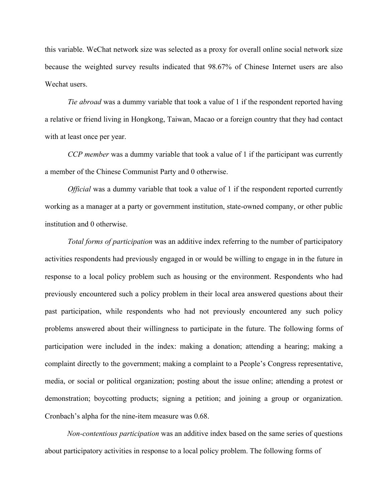this variable. WeChat network size was selected as a proxy for overall online social network size because the weighted survey results indicated that 98.67% of Chinese Internet users are also Wechat users.

*Tie abroad* was a dummy variable that took a value of 1 if the respondent reported having a relative or friend living in Hongkong, Taiwan, Macao or a foreign country that they had contact with at least once per year.

*CCP member* was a dummy variable that took a value of 1 if the participant was currently a member of the Chinese Communist Party and 0 otherwise.

*Official* was a dummy variable that took a value of 1 if the respondent reported currently working as a manager at a party or government institution, state-owned company, or other public institution and 0 otherwise.

*Total forms of participation* was an additive index referring to the number of participatory activities respondents had previously engaged in or would be willing to engage in in the future in response to a local policy problem such as housing or the environment. Respondents who had previously encountered such a policy problem in their local area answered questions about their past participation, while respondents who had not previously encountered any such policy problems answered about their willingness to participate in the future. The following forms of participation were included in the index: making a donation; attending a hearing; making a complaint directly to the government; making a complaint to a People's Congress representative, media, or social or political organization; posting about the issue online; attending a protest or demonstration; boycotting products; signing a petition; and joining a group or organization. Cronbach's alpha for the nine-item measure was 0.68.

*Non-contentious participation* was an additive index based on the same series of questions about participatory activities in response to a local policy problem. The following forms of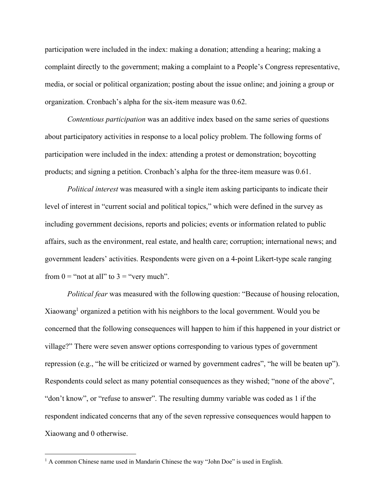participation were included in the index: making a donation; attending a hearing; making a complaint directly to the government; making a complaint to a People's Congress representative, media, or social or political organization; posting about the issue online; and joining a group or organization. Cronbach's alpha for the six-item measure was 0.62.

*Contentious participation* was an additive index based on the same series of questions about participatory activities in response to a local policy problem. The following forms of participation were included in the index: attending a protest or demonstration; boycotting products; and signing a petition. Cronbach's alpha for the three-item measure was 0.61.

*Political interest* was measured with a single item asking participants to indicate their level of interest in "current social and political topics," which were defined in the survey as including government decisions, reports and policies; events or information related to public affairs, such as the environment, real estate, and health care; corruption; international news; and government leaders' activities. Respondents were given on a 4-point Likert-type scale ranging from  $0 =$  "not at all" to  $3 =$  "very much".

*Political fear* was measured with the following question: "Because of housing relocation, Xiaowang<sup>1</sup> organized a petition with his neighbors to the local government. Would you be concerned that the following consequences will happen to him if this happened in your district or village?" There were seven answer options corresponding to various types of government repression (e.g., "he will be criticized or warned by government cadres", "he will be beaten up"). Respondents could select as many potential consequences as they wished; "none of the above", "don't know", or "refuse to answer". The resulting dummy variable was coded as 1 if the respondent indicated concerns that any of the seven repressive consequences would happen to Xiaowang and 0 otherwise.

 $<sup>1</sup>$  A common Chinese name used in Mandarin Chinese the way "John Doe" is used in English.</sup>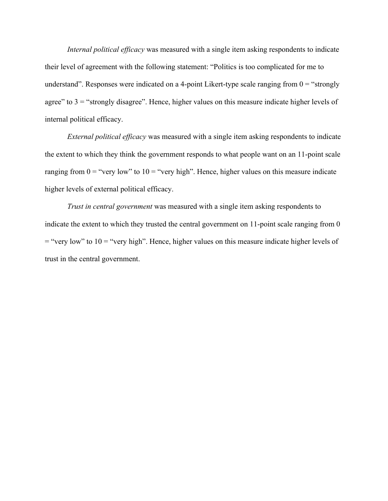*Internal political efficacy* was measured with a single item asking respondents to indicate their level of agreement with the following statement: "Politics is too complicated for me to understand". Responses were indicated on a 4-point Likert-type scale ranging from  $0 =$  "strongly agree" to  $3 =$  "strongly disagree". Hence, higher values on this measure indicate higher levels of internal political efficacy.

*External political efficacy* was measured with a single item asking respondents to indicate the extent to which they think the government responds to what people want on an 11-point scale ranging from  $0 =$  "very low" to  $10 =$  "very high". Hence, higher values on this measure indicate higher levels of external political efficacy.

*Trust in central government* was measured with a single item asking respondents to indicate the extent to which they trusted the central government on 11-point scale ranging from 0  $=$  "very low" to 10 = "very high". Hence, higher values on this measure indicate higher levels of trust in the central government.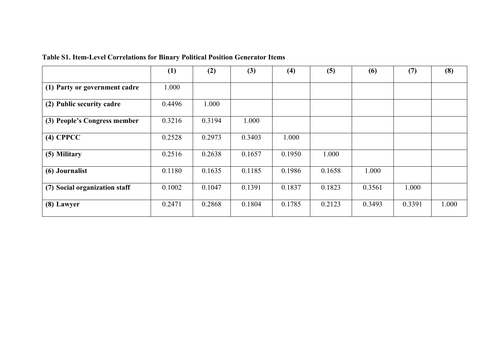|  |  |  | <b>Table S1. Item-Level Correlations for Binary Political Position Generator Items</b> |
|--|--|--|----------------------------------------------------------------------------------------|
|  |  |  |                                                                                        |

|                               | (1)    | (2)    | (3)    | (4)    | (5)    | (6)    | (7)    | (8)   |
|-------------------------------|--------|--------|--------|--------|--------|--------|--------|-------|
| (1) Party or government cadre | 1.000  |        |        |        |        |        |        |       |
| (2) Public security cadre     | 0.4496 | 1.000  |        |        |        |        |        |       |
| (3) People's Congress member  | 0.3216 | 0.3194 | 1.000  |        |        |        |        |       |
| $(4)$ CPPCC                   | 0.2528 | 0.2973 | 0.3403 | 1.000  |        |        |        |       |
| (5) Military                  | 0.2516 | 0.2638 | 0.1657 | 0.1950 | 1.000  |        |        |       |
| (6) Journalist                | 0.1180 | 0.1635 | 0.1185 | 0.1986 | 0.1658 | 1.000  |        |       |
| (7) Social organization staff | 0.1002 | 0.1047 | 0.1391 | 0.1837 | 0.1823 | 0.3561 | 1.000  |       |
| (8) Lawyer                    | 0.2471 | 0.2868 | 0.1804 | 0.1785 | 0.2123 | 0.3493 | 0.3391 | 1.000 |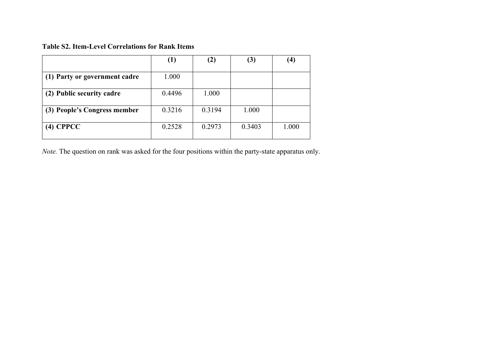#### **Table S2. Item-Level Correlations for Rank Items**

|                               | (1)    | $\bf(2)$ | (3)    | $\left( 4\right)$ |
|-------------------------------|--------|----------|--------|-------------------|
| (1) Party or government cadre | 1.000  |          |        |                   |
| (2) Public security cadre     | 0.4496 | 1.000    |        |                   |
| (3) People's Congress member  | 0.3216 | 0.3194   | 1.000  |                   |
| $(4)$ CPPCC                   | 0.2528 | 0.2973   | 0.3403 | 1.000             |

*Note.* The question on rank was asked for the four positions within the party-state apparatus only.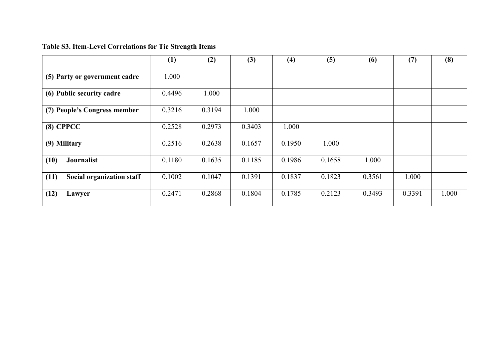# **Table S3. Item-Level Correlations for Tie Strength Items**

|                                   | (1)    | (2)    | (3)    | (4)    | (5)    | (6)    | (7)    | (8)   |
|-----------------------------------|--------|--------|--------|--------|--------|--------|--------|-------|
| (5) Party or government cadre     | 1.000  |        |        |        |        |        |        |       |
| (6) Public security cadre         | 0.4496 | 1.000  |        |        |        |        |        |       |
| (7) People's Congress member      | 0.3216 | 0.3194 | 1.000  |        |        |        |        |       |
| $(8)$ CPPCC                       | 0.2528 | 0.2973 | 0.3403 | 1.000  |        |        |        |       |
| (9) Military                      | 0.2516 | 0.2638 | 0.1657 | 0.1950 | 1.000  |        |        |       |
| (10)<br><b>Journalist</b>         | 0.1180 | 0.1635 | 0.1185 | 0.1986 | 0.1658 | 1.000  |        |       |
| Social organization staff<br>(11) | 0.1002 | 0.1047 | 0.1391 | 0.1837 | 0.1823 | 0.3561 | 1.000  |       |
| (12)<br>Lawyer                    | 0.2471 | 0.2868 | 0.1804 | 0.1785 | 0.2123 | 0.3493 | 0.3391 | 1.000 |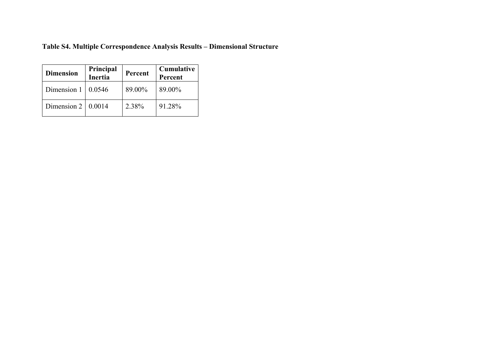# **Table S4. Multiple Correspondence Analysis Results – Dimensional Structure**

| <b>Dimension</b>   | Principal<br>Inertia | Percent | <b>Cumulative</b><br>Percent |
|--------------------|----------------------|---------|------------------------------|
| Dimension 1        | 0.0546               | 89.00%  | 89.00%                       |
| Dimension $2 \mid$ | 0.0014               | 2.38%   | 91.28%                       |